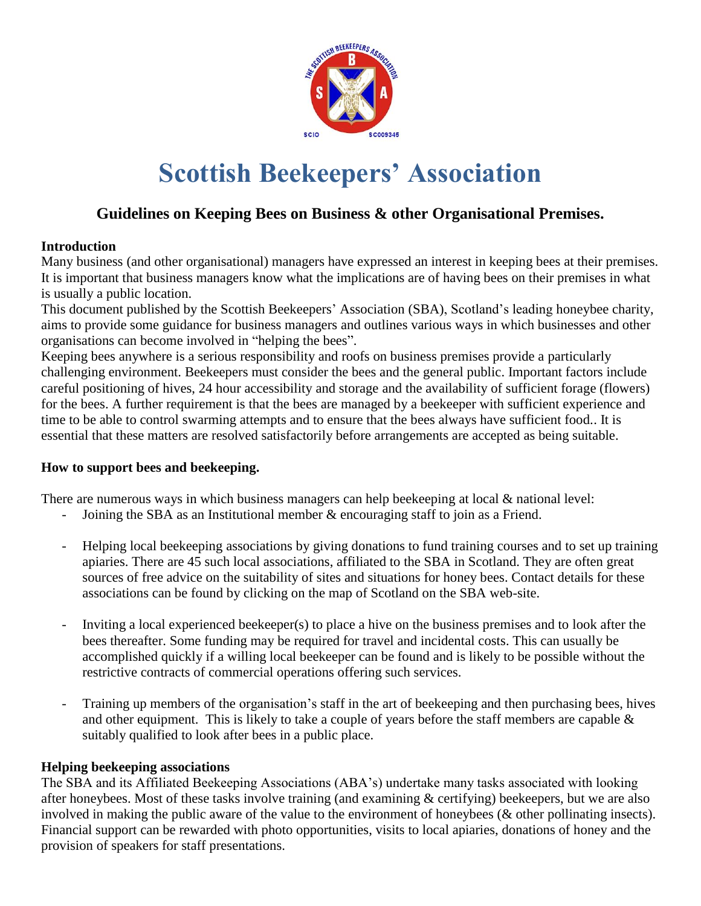

# **Scottish Beekeepers' Association**

# **Guidelines on Keeping Bees on Business & other Organisational Premises.**

# **Introduction**

Many business (and other organisational) managers have expressed an interest in keeping bees at their premises. It is important that business managers know what the implications are of having bees on their premises in what is usually a public location.

This document published by the Scottish Beekeepers' Association (SBA), Scotland's leading honeybee charity, aims to provide some guidance for business managers and outlines various ways in which businesses and other organisations can become involved in "helping the bees".

Keeping bees anywhere is a serious responsibility and roofs on business premises provide a particularly challenging environment. Beekeepers must consider the bees and the general public. Important factors include careful positioning of hives, 24 hour accessibility and storage and the availability of sufficient forage (flowers) for the bees. A further requirement is that the bees are managed by a beekeeper with sufficient experience and time to be able to control swarming attempts and to ensure that the bees always have sufficient food.. It is essential that these matters are resolved satisfactorily before arrangements are accepted as being suitable.

## **How to support bees and beekeeping.**

There are numerous ways in which business managers can help beekeeping at local & national level:

- Joining the SBA as an Institutional member & encouraging staff to join as a Friend.
- Helping local beekeeping associations by giving donations to fund training courses and to set up training apiaries. There are 45 such local associations, affiliated to the SBA in Scotland. They are often great sources of free advice on the suitability of sites and situations for honey bees. Contact details for these associations can be found by clicking on the map of Scotland on the SBA web-site.
- Inviting a local experienced beekeeper(s) to place a hive on the business premises and to look after the bees thereafter. Some funding may be required for travel and incidental costs. This can usually be accomplished quickly if a willing local beekeeper can be found and is likely to be possible without the restrictive contracts of commercial operations offering such services.
- Training up members of the organisation's staff in the art of beekeeping and then purchasing bees, hives and other equipment. This is likely to take a couple of years before the staff members are capable  $\&$ suitably qualified to look after bees in a public place.

# **Helping beekeeping associations**

The SBA and its Affiliated Beekeeping Associations (ABA's) undertake many tasks associated with looking after honeybees. Most of these tasks involve training (and examining & certifying) beekeepers, but we are also involved in making the public aware of the value to the environment of honeybees (& other pollinating insects). Financial support can be rewarded with photo opportunities, visits to local apiaries, donations of honey and the provision of speakers for staff presentations.